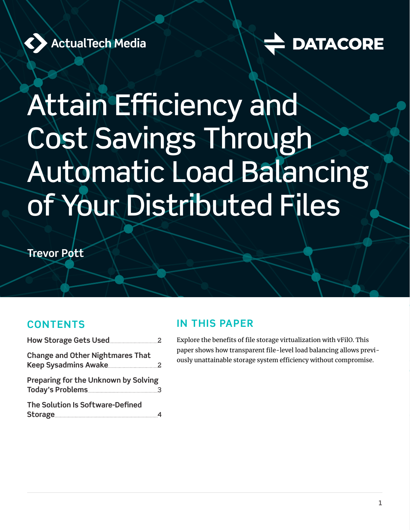

# **DATACORE**

# Attain Efficiency and Cost Savings Through Automatic Load Balancing of Your Distributed Files

**Trevor Pott**

#### **CONTENTS**

| <b>Change and Other Nightmares That</b>     |  |
|---------------------------------------------|--|
| <b>Preparing for the Unknown by Solving</b> |  |
| The Solution Is Software-Defined            |  |

#### **IN THIS PAPER**

Explore the benefits of file storage virtualization with vFilO. This paper shows how transparent file-level load balancing allows previously unattainable storage system efficiency without compromise.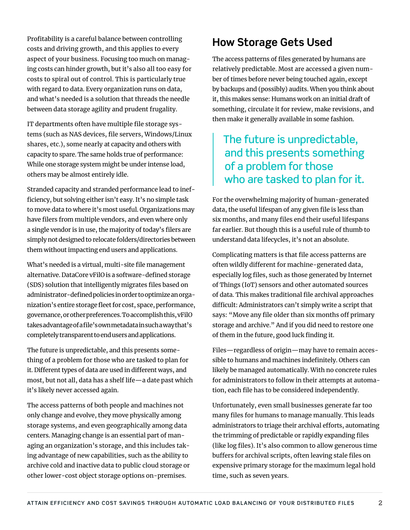<span id="page-1-0"></span>Profitability is a careful balance between controlling costs and driving growth, and this applies to every aspect of your business. Focusing too much on managing costs can hinder growth, but it's also all too easy for costs to spiral out of control. This is particularly true with regard to data. Every organization runs on data, and what's needed is a solution that threads the needle between data storage agility and prudent frugality.

IT departments often have multiple file storage systems (such as NAS devices, file servers, Windows/Linux shares, etc.), some nearly at capacity and others with capacity to spare. The same holds true of performance: While one storage system might be under intense load, others may be almost entirely idle.

Stranded capacity and stranded performance lead to inefficiency, but solving either isn't easy. It's no simple task to move data to where it's most useful. Organizations may have filers from multiple vendors, and even where only a single vendor is in use, the majority of today's filers are simply not designed to relocate folders/directories between them without impacting end users and applications.

What's needed is a virtual, multi-site file management alternative. DataCore vFilO is a software-defined storage (SDS) solution that intelligently migrates files based on administrator-defined policies in order to optimize an organization's entire storage fleet for cost, space, performance, governance, or other preferences. To accomplish this, vFilO takes advantage of a file's own metadata in such a way that's completely transparent to end users and applications.

The future is unpredictable, and this presents something of a problem for those who are tasked to plan for it. Different types of data are used in different ways, and most, but not all, data has a shelf life—a date past which it's likely never accessed again.

The access patterns of both people and machines not only change and evolve, they move physically among storage systems, and even geographically among data centers. Managing change is an essential part of managing an organization's storage, and this includes taking advantage of new capabilities, such as the ability to archive cold and inactive data to public cloud storage or other lower-cost object storage options on-premises.

## **How Storage Gets Used**

The access patterns of files generated by humans are relatively predictable. Most are accessed a given number of times before never being touched again, except by backups and (possibly) audits. When you think about it, this makes sense: Humans work on an initial draft of something, circulate it for review, make revisions, and then make it generally available in some fashion.

### The future is unpredictable, and this presents something of a problem for those who are tasked to plan for it.

For the overwhelming majority of human-generated data, the useful lifespan of any given file is less than six months, and many files end their useful lifespans far earlier. But though this is a useful rule of thumb to understand data lifecycles, it's not an absolute.

Complicating matters is that file access patterns are often wildly different for machine-generated data, especially log files, such as those generated by Internet of Things (IoT) sensors and other automated sources of data. This makes traditional file archival approaches difficult: Administrators can't simply write a script that says: "Move any file older than six months off primary storage and archive." And if you did need to restore one of them in the future, good luck finding it.

Files—regardless of origin—may have to remain accessible to humans and machines indefinitely. Others can likely be managed automatically. With no concrete rules for administrators to follow in their attempts at automation, each file has to be considered independently.

Unfortunately, even small businesses generate far too many files for humans to manage manually. This leads administrators to triage their archival efforts, automating the trimming of predictable or rapidly expanding files (like log files). It's also common to allow generous time buffers for archival scripts, often leaving stale files on expensive primary storage for the maximum legal hold time, such as seven years.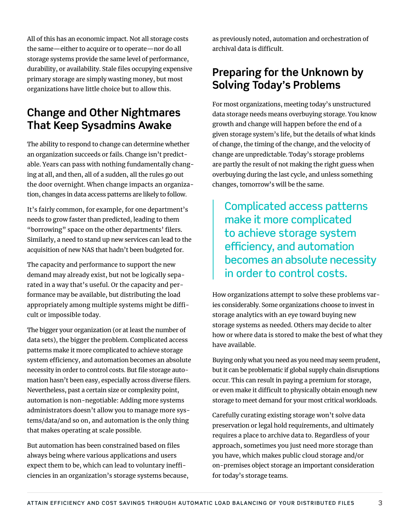necessity in order to control costs. But file storage automation hasn't been easy, especially across diverse filers.

> Nevertheless, past a certain size or complexity point, automation is non-negotiable: Adding more systems administrators doesn't allow you to manage more systems/data/and so on, and automation is the only thing that makes operating at scale possible.

All of this has an economic impact. Not all storage costs the same—either to acquire or to operate—nor do all storage systems provide the same level of performance, durability, or availability. Stale files occupying expensive primary storage are simply wasting money, but most organizations have little choice but to allow this.

**Change and Other Nightmares That Keep Sysadmins Awake**

The ability to respond to change can determine whether an organization succeeds or fails. Change isn't predictable. Years can pass with nothing fundamentally changing at all, and then, all of a sudden, all the rules go out the door overnight. When change impacts an organization, changes in data access patterns are likely to follow.

It's fairly common, for example, for one department's needs to grow faster than predicted, leading to them "borrowing" space on the other departments' filers. Similarly, a need to stand up new services can lead to the acquisition of new NAS that hadn't been budgeted for.

The capacity and performance to support the new demand may already exist, but not be logically separated in a way that's useful. Or the capacity and performance may be available, but distributing the load appropriately among multiple systems might be diffi-

The bigger your organization (or at least the number of data sets), the bigger the problem. Complicated access patterns make it more complicated to achieve storage system efficiency, and automation becomes an absolute

cult or impossible today.

But automation has been constrained based on files always being where various applications and users expect them to be, which can lead to voluntary inefficiencies in an organization's storage systems because,

as previously noted, automation and orchestration of archival data is difficult.

#### **Preparing for the Unknown by Solving Today's Problems**

For most organizations, meeting today's unstructured data storage needs means overbuying storage. You know growth and change will happen before the end of a given storage system's life, but the details of what kinds of change, the timing of the change, and the velocity of change are unpredictable. Today's storage problems are partly the result of not making the right guess when overbuying during the last cycle, and unless something changes, tomorrow's will be the same.

Complicated access patterns make it more complicated to achieve storage system efficiency, and automation becomes an absolute necessity in order to control costs.

How organizations attempt to solve these problems varies considerably. Some organizations choose to invest in storage analytics with an eye toward buying new storage systems as needed. Others may decide to alter how or where data is stored to make the best of what they have available.

Buying only what you need as you need may seem prudent, but it can be problematic if global supply chain disruptions occur. This can result in paying a premium for storage, or even make it difficult to physically obtain enough new storage to meet demand for your most critical workloads.

Carefully curating existing storage won't solve data preservation or legal hold requirements, and ultimately requires a place to archive data to. Regardless of your approach, sometimes you just need more storage than you have, which makes public cloud storage and/or on-premises object storage an important consideration for today's storage teams.